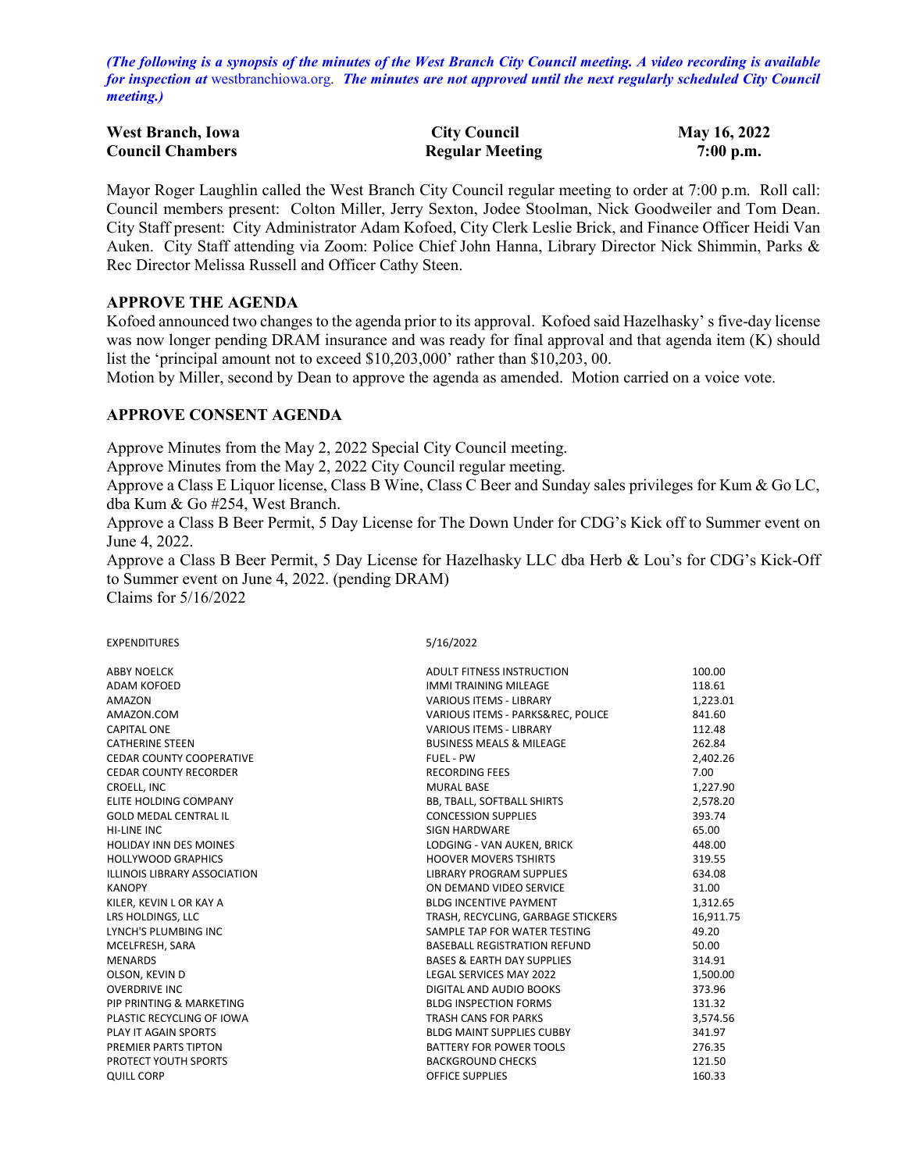*(The following is a synopsis of the minutes of the West Branch City Council meeting. A video recording is available for inspection at* [westbranchiowa.org.](https://westbranchiowa.org/city-of-west-branch/mayor-city-council/meetings/) *The minutes are not approved until the next regularly scheduled City Council meeting.)*

| <b>West Branch, Iowa</b> | <b>City Council</b>    | May 16, 2022 |
|--------------------------|------------------------|--------------|
| <b>Council Chambers</b>  | <b>Regular Meeting</b> | $7:00$ p.m.  |

Mayor Roger Laughlin called the West Branch City Council regular meeting to order at 7:00 p.m. Roll call: Council members present: Colton Miller, Jerry Sexton, Jodee Stoolman, Nick Goodweiler and Tom Dean. City Staff present: City Administrator Adam Kofoed, City Clerk Leslie Brick, and Finance Officer Heidi Van Auken. City Staff attending via Zoom: Police Chief John Hanna, Library Director Nick Shimmin, Parks & Rec Director Melissa Russell and Officer Cathy Steen.

#### **APPROVE THE AGENDA**

Kofoed announced two changes to the agenda prior to its approval. Kofoed said Hazelhasky' s five-day license was now longer pending DRAM insurance and was ready for final approval and that agenda item (K) should list the 'principal amount not to exceed \$10,203,000' rather than \$10,203, 00.

Motion by Miller, second by Dean to approve the agenda as amended. Motion carried on a voice vote.

### **APPROVE CONSENT AGENDA**

Approve Minutes from the May 2, 2022 Special City Council meeting.

Approve Minutes from the May 2, 2022 City Council regular meeting.

Approve a Class E Liquor license, Class B Wine, Class C Beer and Sunday sales privileges for Kum & Go LC, dba Kum & Go #254, West Branch.

Approve a Class B Beer Permit, 5 Day License for The Down Under for CDG's Kick off to Summer event on June 4, 2022.

Approve a Class B Beer Permit, 5 Day License for Hazelhasky LLC dba Herb & Lou's for CDG's Kick-Off to Summer event on June 4, 2022. (pending DRAM)

Claims for 5/16/2022

#### EXPENDITURES 5/16/2022 ABBY NOELCK ADULT FITNESS INSTRUCTION 100.00 ADAM KOFOED 118.61 CONTROL IN TRAINING MILEAGE THE STATE OF STATE IN TRAINING MILEAGE AMAZON VARIOUS ITEMS - LIBRARY 1,223.01 AMAZON.COM VARIOUS ITEMS - PARKS&REC, POLICE 841.60 CAPITAL ONE VARIOUS ITEMS - LIBRARY 112.48 CATHERINE STEEN **BUSINESS MEALS & MILEAGE** CEDAR COUNTY COOPERATIVE **FUEL - PW** FUEL - PW **2,402.26** CEDAR COUNTY RECORDER THE RECORD RECORDING FEES THE RECORD RECORD RECORDING FEES THE RECORD RECORD RECORDING FEES THE RECORD RECORDING FEES THE RECORD RECORDING FEES THE RECORD RECORD RECORDING FEES THE RECORD RECORD RECOR CROELL, INC 1,227.90 ELITE HOLDING COMPANY BB, TBALL, SOFTBALL SHIRTS 2,578.20 GOLD MEDAL CENTRAL IL CONCESSION SUPPLIES 393.74 HI-LINE INC 65.00 HOLIDAY INN DES MOINES LODGING - VAN AUKEN, BRICK 448.00 HOLLYWOOD GRAPHICS **HOOVER MOVERS TSHIRTS** 319.55 ILLINOIS LIBRARY ASSOCIATION GENERAL PROGRAM SUPPLIES FOR AN ON DEMAND VIDEO SERVICE THE SOLUTION ON DEMAND VIDEO SERVICE KANOPY ON DEMAND VIDEO SERVICE 31.00 KILER, KEVIN LOR KAY A BLDG INCENTIVE PAYMENT 1,312.65 LRS HOLDINGS, LLC **TRASH, RECYCLING, GARBAGE STICKERS** 16,911.75 LYNCH'S PLUMBING INC **A REPORT OF A REPORT OF SAMPLE TAP FOR WATER TESTING** 49.20 MCELFRESH, SARA BASEBALL REGISTRATION REFUND 50.00 MENARDS BASES & EARTH DAY SUPPLIES 314.91 OLSON, KEVIN D LEGAL SERVICES MAY 2022 1,500.00 OVERDRIVE INC **DIGITAL AND AUDIO BOOKS** 373.9674.076 2012 12:06 PIP PRINTING & MARKETING **BLDG INSPECTION FORMS** 131.32 PLASTIC RECYCLING OF IOWA TRASH CANS FOR PARKS 3,574.56 PLAY IT AGAIN SPORTS **BLDG MAINT SUPPLIES CUBBY** 341.97 PREMIER PARTS TIPTON **BATTERY FOR POWER TOOLS** 276.35

PROTECT YOUTH SPORTS **EXECUTE 2018 THE SPORTS** BACKGROUND CHECKS **121.50** QUILL CORP **OFFICE SUPPLIES CONSUMING A CONSUMING A CONSUMING A CONSUMING A CONSUMING A CONSUMING A CONSUMING A CONSUMING A CONSUMING A CONSUMING A CONSUMING A CONSUMING A CONSUMING A CONSUMING A CONSUMING A CONSUMING A**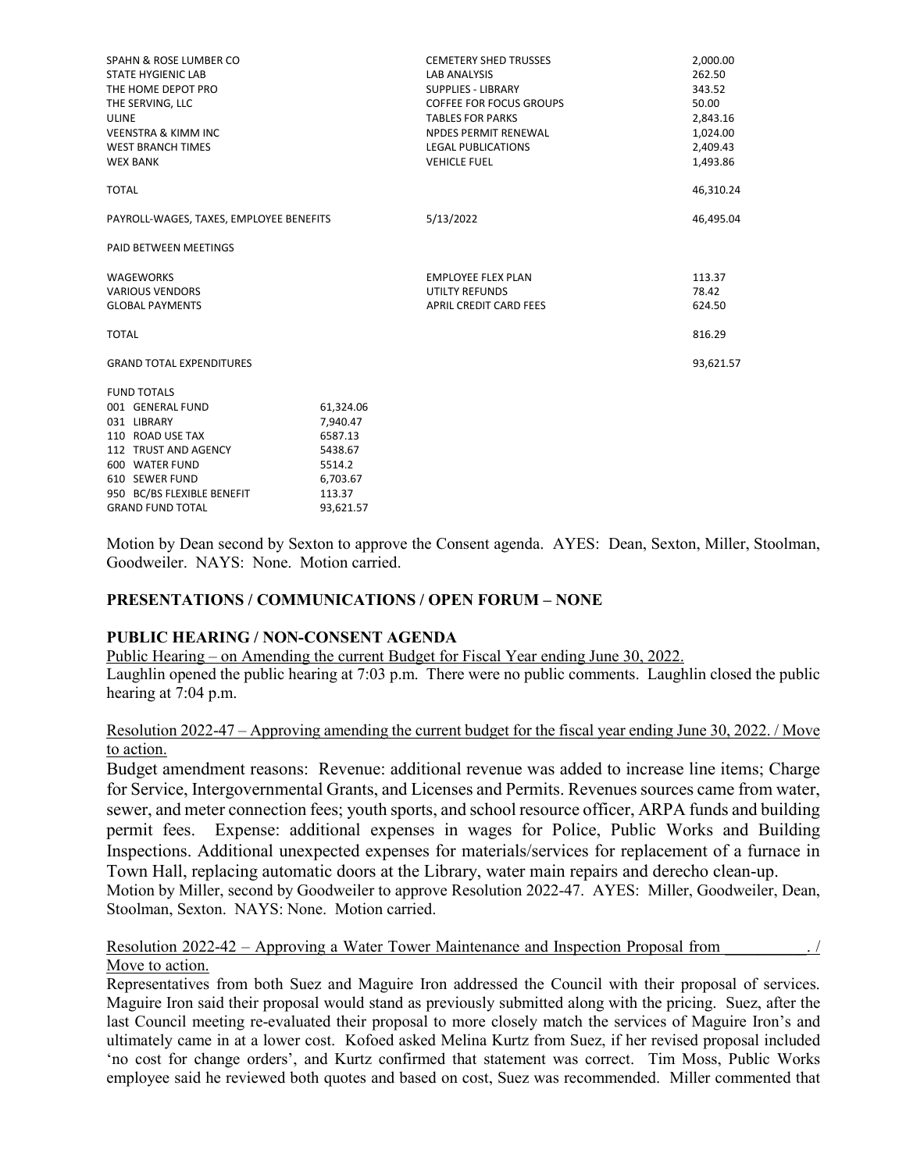| SPAHN & ROSE LUMBER CO<br><b>STATE HYGIENIC LAB</b> |           | <b>CEMETERY SHED TRUSSES</b><br><b>LAB ANALYSIS</b> | 2,000.00<br>262.50 |
|-----------------------------------------------------|-----------|-----------------------------------------------------|--------------------|
| THE HOME DEPOT PRO                                  |           | <b>SUPPLIES - LIBRARY</b>                           | 343.52             |
| THE SERVING, LLC                                    |           | COFFEE FOR FOCUS GROUPS                             | 50.00              |
| ULINE                                               |           | <b>TABLES FOR PARKS</b>                             | 2,843.16           |
| <b>VEENSTRA &amp; KIMM INC</b>                      |           | <b>NPDES PERMIT RENEWAL</b>                         | 1,024.00           |
| <b>WEST BRANCH TIMES</b>                            |           | <b>LEGAL PUBLICATIONS</b>                           | 2,409.43           |
| <b>WEX BANK</b>                                     |           | <b>VEHICLE FUEL</b>                                 | 1,493.86           |
| <b>TOTAL</b>                                        |           |                                                     | 46,310.24          |
| PAYROLL-WAGES, TAXES, EMPLOYEE BENEFITS             |           | 5/13/2022                                           | 46,495.04          |
| <b>PAID BETWEEN MEETINGS</b>                        |           |                                                     |                    |
| <b>WAGEWORKS</b>                                    |           | <b>EMPLOYEE FLEX PLAN</b>                           | 113.37             |
| <b>VARIOUS VENDORS</b>                              |           | <b>UTILTY REFUNDS</b>                               | 78.42              |
| <b>GLOBAL PAYMENTS</b>                              |           | <b>APRIL CREDIT CARD FEES</b>                       | 624.50             |
| <b>TOTAL</b>                                        |           |                                                     | 816.29             |
| <b>GRAND TOTAL EXPENDITURES</b>                     |           |                                                     | 93,621.57          |
| <b>FUND TOTALS</b>                                  |           |                                                     |                    |
| 001 GENERAL FUND                                    | 61,324.06 |                                                     |                    |
| 031 LIBRARY                                         | 7,940.47  |                                                     |                    |
| 110 ROAD USE TAX                                    | 6587.13   |                                                     |                    |
| 112 TRUST AND AGENCY                                | 5438.67   |                                                     |                    |
| 600 WATER FUND                                      | 5514.2    |                                                     |                    |
| 610 SEWER FUND                                      | 6,703.67  |                                                     |                    |
| 950 BC/BS FLEXIBLE BENEFIT                          | 113.37    |                                                     |                    |
| <b>GRAND FUND TOTAL</b>                             | 93.621.57 |                                                     |                    |

Motion by Dean second by Sexton to approve the Consent agenda. AYES: Dean, Sexton, Miller, Stoolman, Goodweiler. NAYS: None. Motion carried.

### **PRESENTATIONS / COMMUNICATIONS / OPEN FORUM – NONE**

#### **PUBLIC HEARING / NON-CONSENT AGENDA**

Public Hearing – on Amending the current Budget for Fiscal Year ending June 30, 2022. Laughlin opened the public hearing at 7:03 p.m. There were no public comments. Laughlin closed the public hearing at 7:04 p.m.

### Resolution 2022-47 – Approving amending the current budget for the fiscal year ending June 30, 2022. / Move to action.

Budget amendment reasons: Revenue: additional revenue was added to increase line items; Charge for Service, Intergovernmental Grants, and Licenses and Permits. Revenues sources came from water, sewer, and meter connection fees; youth sports, and school resource officer, ARPA funds and building permit fees. Expense: additional expenses in wages for Police, Public Works and Building Inspections. Additional unexpected expenses for materials/services for replacement of a furnace in Town Hall, replacing automatic doors at the Library, water main repairs and derecho clean-up.

Motion by Miller, second by Goodweiler to approve Resolution 2022-47. AYES: Miller, Goodweiler, Dean, Stoolman, Sexton. NAYS: None. Motion carried.

Resolution 2022-42 – Approving a Water Tower Maintenance and Inspection Proposal from Move to action.

Representatives from both Suez and Maguire Iron addressed the Council with their proposal of services. Maguire Iron said their proposal would stand as previously submitted along with the pricing. Suez, after the last Council meeting re-evaluated their proposal to more closely match the services of Maguire Iron's and ultimately came in at a lower cost. Kofoed asked Melina Kurtz from Suez, if her revised proposal included 'no cost for change orders', and Kurtz confirmed that statement was correct. Tim Moss, Public Works employee said he reviewed both quotes and based on cost, Suez was recommended. Miller commented that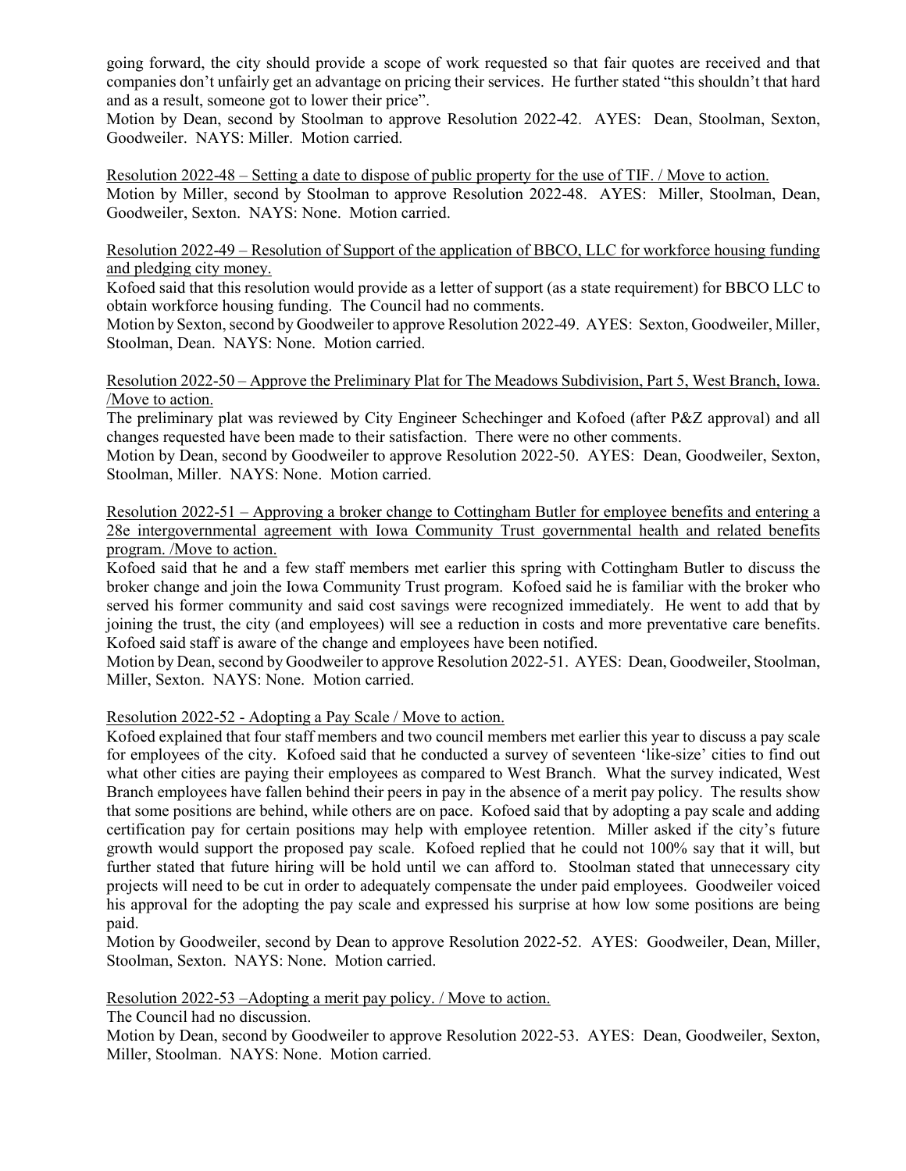going forward, the city should provide a scope of work requested so that fair quotes are received and that companies don't unfairly get an advantage on pricing their services. He further stated "this shouldn't that hard and as a result, someone got to lower their price".

Motion by Dean, second by Stoolman to approve Resolution 2022-42. AYES: Dean, Stoolman, Sexton, Goodweiler. NAYS: Miller. Motion carried.

Resolution 2022-48 – Setting a date to dispose of public property for the use of TIF. / Move to action. Motion by Miller, second by Stoolman to approve Resolution 2022-48. AYES: Miller, Stoolman, Dean, Goodweiler, Sexton. NAYS: None. Motion carried.

Resolution 2022-49 – Resolution of Support of the application of BBCO, LLC for workforce housing funding and pledging city money.

Kofoed said that this resolution would provide as a letter of support (as a state requirement) for BBCO LLC to obtain workforce housing funding. The Council had no comments.

Motion by Sexton, second by Goodweiler to approve Resolution 2022-49. AYES: Sexton, Goodweiler, Miller, Stoolman, Dean. NAYS: None. Motion carried.

Resolution 2022-50 – Approve the Preliminary Plat for The Meadows Subdivision, Part 5, West Branch, Iowa. /Move to action.

The preliminary plat was reviewed by City Engineer Schechinger and Kofoed (after P&Z approval) and all changes requested have been made to their satisfaction. There were no other comments.

Motion by Dean, second by Goodweiler to approve Resolution 2022-50. AYES: Dean, Goodweiler, Sexton, Stoolman, Miller. NAYS: None. Motion carried.

Resolution 2022-51 – Approving a broker change to Cottingham Butler for employee benefits and entering a 28e intergovernmental agreement with Iowa Community Trust governmental health and related benefits program. /Move to action.

Kofoed said that he and a few staff members met earlier this spring with Cottingham Butler to discuss the broker change and join the Iowa Community Trust program. Kofoed said he is familiar with the broker who served his former community and said cost savings were recognized immediately. He went to add that by joining the trust, the city (and employees) will see a reduction in costs and more preventative care benefits. Kofoed said staff is aware of the change and employees have been notified.

Motion by Dean, second by Goodweiler to approve Resolution 2022-51. AYES: Dean, Goodweiler, Stoolman, Miller, Sexton. NAYS: None. Motion carried.

Resolution 2022-52 - Adopting a Pay Scale / Move to action.

Kofoed explained that four staff members and two council members met earlier this year to discuss a pay scale for employees of the city. Kofoed said that he conducted a survey of seventeen 'like-size' cities to find out what other cities are paying their employees as compared to West Branch. What the survey indicated, West Branch employees have fallen behind their peers in pay in the absence of a merit pay policy. The results show that some positions are behind, while others are on pace. Kofoed said that by adopting a pay scale and adding certification pay for certain positions may help with employee retention. Miller asked if the city's future growth would support the proposed pay scale. Kofoed replied that he could not 100% say that it will, but further stated that future hiring will be hold until we can afford to. Stoolman stated that unnecessary city projects will need to be cut in order to adequately compensate the under paid employees. Goodweiler voiced his approval for the adopting the pay scale and expressed his surprise at how low some positions are being paid.

Motion by Goodweiler, second by Dean to approve Resolution 2022-52. AYES: Goodweiler, Dean, Miller, Stoolman, Sexton. NAYS: None. Motion carried.

Resolution 2022-53 –Adopting a merit pay policy. / Move to action.

The Council had no discussion.

Motion by Dean, second by Goodweiler to approve Resolution 2022-53. AYES: Dean, Goodweiler, Sexton, Miller, Stoolman. NAYS: None. Motion carried.